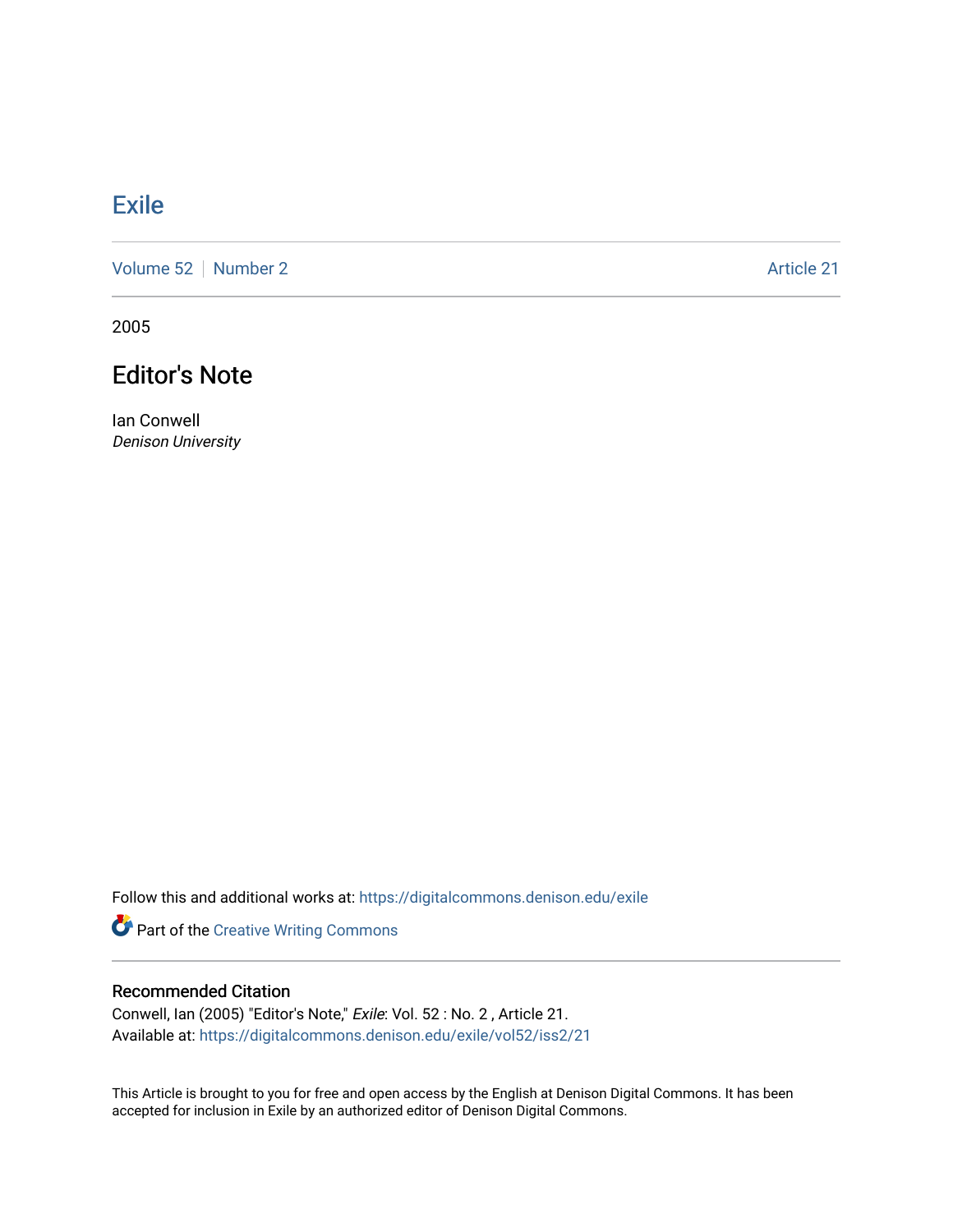## **[Exile](https://digitalcommons.denison.edu/exile)**

[Volume 52](https://digitalcommons.denison.edu/exile/vol52) [Number 2](https://digitalcommons.denison.edu/exile/vol52/iss2) Article 21

2005

## Editor's Note

Ian Conwell Denison University

Follow this and additional works at: [https://digitalcommons.denison.edu/exile](https://digitalcommons.denison.edu/exile?utm_source=digitalcommons.denison.edu%2Fexile%2Fvol52%2Fiss2%2F21&utm_medium=PDF&utm_campaign=PDFCoverPages) 

Part of the [Creative Writing Commons](http://network.bepress.com/hgg/discipline/574?utm_source=digitalcommons.denison.edu%2Fexile%2Fvol52%2Fiss2%2F21&utm_medium=PDF&utm_campaign=PDFCoverPages) 

## Recommended Citation

Conwell, Ian (2005) "Editor's Note," Exile: Vol. 52 : No. 2 , Article 21. Available at: [https://digitalcommons.denison.edu/exile/vol52/iss2/21](https://digitalcommons.denison.edu/exile/vol52/iss2/21?utm_source=digitalcommons.denison.edu%2Fexile%2Fvol52%2Fiss2%2F21&utm_medium=PDF&utm_campaign=PDFCoverPages)

This Article is brought to you for free and open access by the English at Denison Digital Commons. It has been accepted for inclusion in Exile by an authorized editor of Denison Digital Commons.